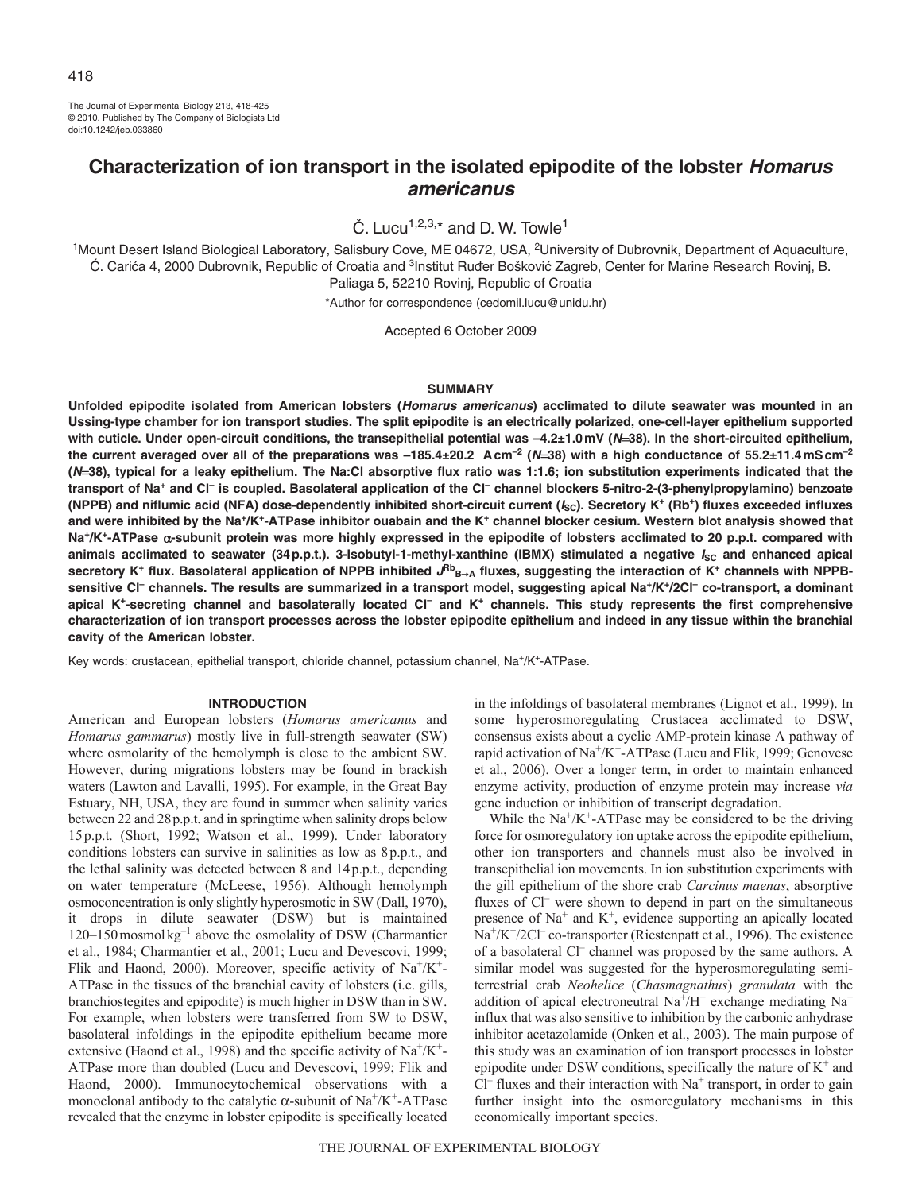The Journal of Experimental Biology 213, 418-425 © 2010. Published by The Company of Biologists Ltd doi:10.1242/jeb.033860

# **Characterization of ion transport in the isolated epipodite of the lobster Homarus americanus**

 $\check{C}$ . Lucu<sup>1,2,3,\*</sup> and D. W. Towle<sup>1</sup>

<sup>1</sup>Mount Desert Island Biological Laboratory, Salisbury Cove, ME 04672, USA, <sup>2</sup>University of Dubrovnik, Department of Aquaculture, Ć. Carića 4, 2000 Dubrovnik, Republic of Croatia and <sup>3</sup>Institut Ruđer Bošković Zagreb, Center for Marine Research Rovinj, B. Paliaga 5, 52210 Rovinj, Republic of Croatia

\*Author for correspondence (cedomil.lucu@unidu.hr)

Accepted 6 October 2009

# **SUMMARY**

**Unfolded epipodite isolated from American lobsters (Homarus americanus) acclimated to dilute seawater was mounted in an Ussing-type chamber for ion transport studies. The split epipodite is an electrically polarized, one-cell-layer epithelium supported with cuticle. Under open-circuit conditions, the transepithelial potential was –4.2±1.0mV (N38). In the short-circuited epithelium,** the current averaged over all of the preparations was  $-185.4\pm20.2$  Acm<sup>-2</sup> ( $M=38$ ) with a high conductance of 55.2 $\pm11.4$ mScm<sup>-2</sup> **(N38), typical for a leaky epithelium. The Na:Cl absorptive flux ratio was 1:1.6; ion substitution experiments indicated that the transport of Na+ and Cl– is coupled. Basolateral application of the Cl– channel blockers 5-nitro-2-(3-phenylpropylamino) benzoate** (NPPB) and niflumic acid (NFA) dose-dependently inhibited short-circuit current (*I*<sub>SC</sub>). Secretory K<sup>+</sup> (Rb<sup>+</sup>) fluxes exceeded influxes **and were inhibited by the Na+/K+-ATPase inhibitor ouabain and the K+ channel blocker cesium. Western blot analysis showed that** Na<sup>+</sup>/K<sup>+</sup>-ATPase α-subunit protein was more highly expressed in the epipodite of lobsters acclimated to 20 p.p.t. compared with animals acclimated to seawater (34 p.p.t.). 3-Isobutyl-1-methyl-xanthine (IBMX) stimulated a negative *I*<sub>SC</sub> and enhanced apical secretory K<sup>+</sup> flux. Basolateral application of NPPB inhibited  $J^{Rb}$ <sub>B→A</sub> fluxes, suggesting the interaction of K<sup>+</sup> channels with NPPB**sensitive Cl– channels. The results are summarized in a transport model, suggesting apical Na+/K+/2Cl– co-transport, a dominant apical K+-secreting channel and basolaterally located Cl– and K+ channels. This study represents the first comprehensive characterization of ion transport processes across the lobster epipodite epithelium and indeed in any tissue within the branchial cavity of the American lobster.**

Key words: crustacean, epithelial transport, chloride channel, potassium channel, Na+/K+-ATPase.

# **INTRODUCTION**

American and European lobsters (*Homarus americanus* and *Homarus gammarus*) mostly live in full-strength seawater (SW) where osmolarity of the hemolymph is close to the ambient SW. However, during migrations lobsters may be found in brackish waters (Lawton and Lavalli, 1995). For example, in the Great Bay Estuary, NH, USA, they are found in summer when salinity varies between 22 and 28p.p.t. and in springtime when salinity drops below 15p.p.t. (Short, 1992; Watson et al., 1999). Under laboratory conditions lobsters can survive in salinities as low as 8p.p.t., and the lethal salinity was detected between 8 and 14p.p.t., depending on water temperature (McLeese, 1956). Although hemolymph osmoconcentration is only slightly hyperosmotic in SW (Dall, 1970), it drops in dilute seawater (DSW) but is maintained 120–150mosmolkg–1 above the osmolality of DSW (Charmantier et al., 1984; Charmantier et al., 2001; Lucu and Devescovi, 1999; Flik and Haond, 2000). Moreover, specific activity of  $Na^+/K^+$ -ATPase in the tissues of the branchial cavity of lobsters (i.e. gills, branchiostegites and epipodite) is much higher in DSW than in SW. For example, when lobsters were transferred from SW to DSW, basolateral infoldings in the epipodite epithelium became more extensive (Haond et al., 1998) and the specific activity of  $Na^+/K^+$ -ATPase more than doubled (Lucu and Devescovi, 1999; Flik and Haond, 2000). Immunocytochemical observations with a monoclonal antibody to the catalytic  $\alpha$ -subunit of Na<sup>+</sup>/K<sup>+</sup>-ATPase revealed that the enzyme in lobster epipodite is specifically located

in the infoldings of basolateral membranes (Lignot et al., 1999). In some hyperosmoregulating Crustacea acclimated to DSW, consensus exists about a cyclic AMP-protein kinase A pathway of rapid activation of Na+/K+-ATPase (Lucu and Flik, 1999; Genovese et al., 2006). Over a longer term, in order to maintain enhanced enzyme activity, production of enzyme protein may increase *via* gene induction or inhibition of transcript degradation.

While the  $\text{Na}^{\text{+}}/\text{K}^{\text{+}}$ -ATPase may be considered to be the driving force for osmoregulatory ion uptake across the epipodite epithelium, other ion transporters and channels must also be involved in transepithelial ion movements. In ion substitution experiments with the gill epithelium of the shore crab *Carcinus maenas*, absorptive fluxes of Cl<sup>–</sup> were shown to depend in part on the simultaneous presence of  $Na<sup>+</sup>$  and  $K<sup>+</sup>$ , evidence supporting an apically located Na<sup>+</sup>/K<sup>+</sup>/2Cl<sup>–</sup> co-transporter (Riestenpatt et al., 1996). The existence of a basolateral Cl<sup>-</sup> channel was proposed by the same authors. A similar model was suggested for the hyperosmoregulating semiterrestrial crab *Neohelice* (*Chasmagnathus*) *granulata* with the addition of apical electroneutral  $Na^{+}/H^{+}$  exchange mediating  $Na^{+}$ influx that was also sensitive to inhibition by the carbonic anhydrase inhibitor acetazolamide (Onken et al., 2003). The main purpose of this study was an examination of ion transport processes in lobster epipodite under DSW conditions, specifically the nature of  $K^+$  and  $Cl^-$  fluxes and their interaction with Na<sup>+</sup> transport, in order to gain further insight into the osmoregulatory mechanisms in this economically important species.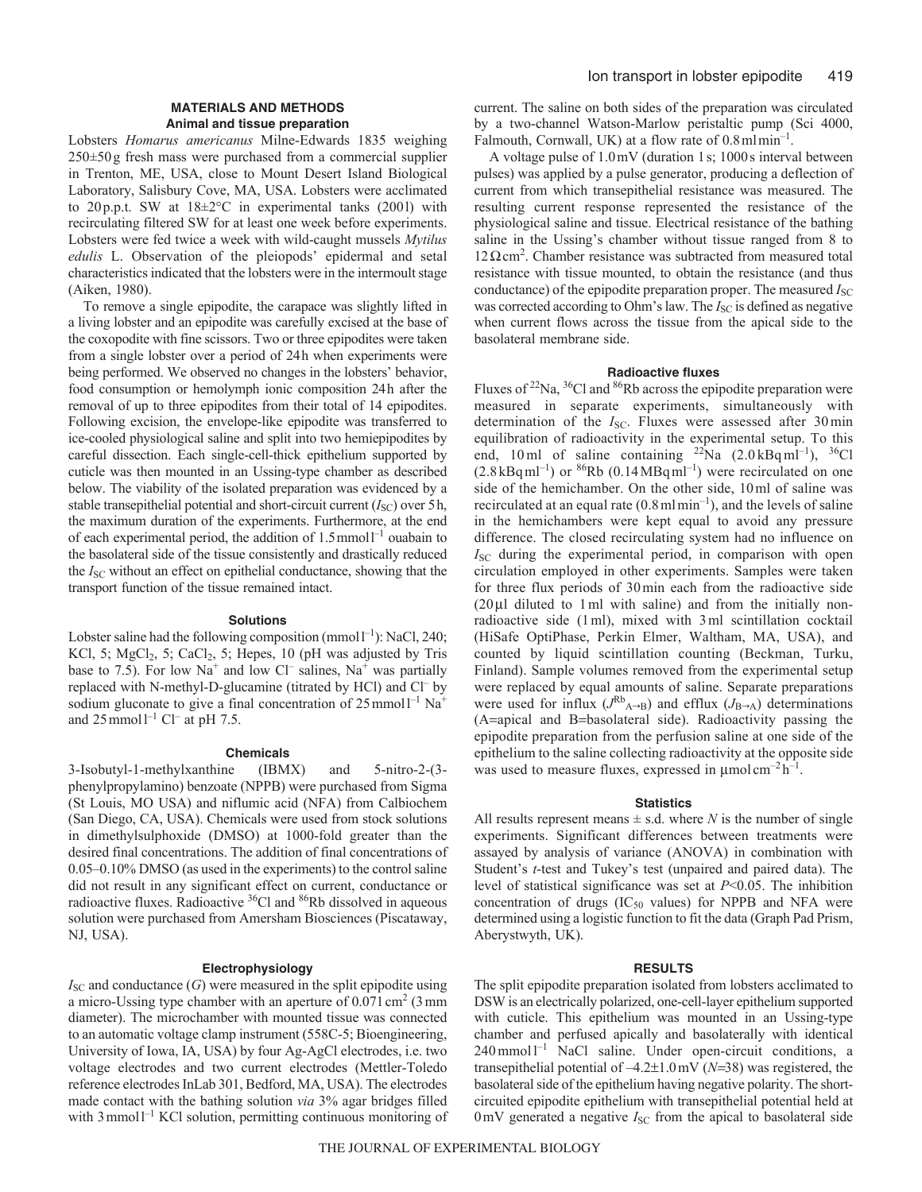# **MATERIALS AND METHODS Animal and tissue preparation**

Lobsters *Homarus americanus* Milne-Edwards 1835 weighing 250±50g fresh mass were purchased from a commercial supplier in Trenton, ME, USA, close to Mount Desert Island Biological Laboratory, Salisbury Cove, MA, USA. Lobsters were acclimated to 20p.p.t. SW at 18±2°C in experimental tanks (200l) with recirculating filtered SW for at least one week before experiments. Lobsters were fed twice a week with wild-caught mussels *Mytilus edulis* L. Observation of the pleiopods' epidermal and setal characteristics indicated that the lobsters were in the intermoult stage (Aiken, 1980).

To remove a single epipodite, the carapace was slightly lifted in a living lobster and an epipodite was carefully excised at the base of the coxopodite with fine scissors. Two or three epipodites were taken from a single lobster over a period of 24h when experiments were being performed. We observed no changes in the lobsters' behavior, food consumption or hemolymph ionic composition 24h after the removal of up to three epipodites from their total of 14 epipodites. Following excision, the envelope-like epipodite was transferred to ice-cooled physiological saline and split into two hemiepipodites by careful dissection. Each single-cell-thick epithelium supported by cuticle was then mounted in an Ussing-type chamber as described below. The viability of the isolated preparation was evidenced by a stable transepithelial potential and short-circuit current  $(I<sub>SC</sub>)$  over 5h, the maximum duration of the experiments. Furthermore, at the end of each experimental period, the addition of 1.5 mmol<sup>1-1</sup> ouabain to the basolateral side of the tissue consistently and drastically reduced the *I*<sub>SC</sub> without an effect on epithelial conductance, showing that the transport function of the tissue remained intact.

## **Solutions**

Lobster saline had the following composition (mmol $l^{-1}$ ): NaCl, 240; KCl, 5; MgCl<sub>2</sub>, 5; CaCl<sub>2</sub>, 5; Hepes, 10 (pH was adjusted by Tris base to 7.5). For low  $Na^+$  and low Cl<sup>-</sup> salines,  $Na^+$  was partially replaced with N-methyl-D-glucamine (titrated by HCl) and Cl– by sodium gluconate to give a final concentration of  $25$  mmol<sup>1-1</sup> Na<sup>+</sup> and  $25$  mmol<sup>1-1</sup> Cl<sup>-</sup> at pH 7.5.

# **Chemicals**

3-Isobutyl-1-methylxanthine (IBMX) and 5-nitro-2-(3 phenylpropylamino) benzoate (NPPB) were purchased from Sigma (St Louis, MO USA) and niflumic acid (NFA) from Calbiochem (San Diego, CA, USA). Chemicals were used from stock solutions in dimethylsulphoxide (DMSO) at 1000-fold greater than the desired final concentrations. The addition of final concentrations of 0.05–0.10% DMSO (as used in the experiments) to the control saline did not result in any significant effect on current, conductance or radioactive fluxes. Radioactive  ${}^{36}$ Cl and  ${}^{86}$ Rb dissolved in aqueous solution were purchased from Amersham Biosciences (Piscataway, NJ, USA).

#### **Electrophysiology**

 $I<sub>SC</sub>$  and conductance  $(G)$  were measured in the split epipodite using a micro-Ussing type chamber with an aperture of  $0.071 \text{ cm}^2$  (3 mm diameter). The microchamber with mounted tissue was connected to an automatic voltage clamp instrument (558C-5; Bioengineering, University of Iowa, IA, USA) by four Ag-AgCl electrodes, i.e. two voltage electrodes and two current electrodes (Mettler-Toledo reference electrodes InLab 301, Bedford, MA, USA). The electrodes made contact with the bathing solution *via* 3% agar bridges filled with 3 mmol<sup>1-1</sup> KCl solution, permitting continuous monitoring of current. The saline on both sides of the preparation was circulated by a two-channel Watson-Marlow peristaltic pump (Sci 4000, Falmouth, Cornwall, UK) at a flow rate of  $0.8 \text{ m} \text{ l} \text{ min}^{-1}$ .

A voltage pulse of 1.0mV (duration 1s; 1000s interval between pulses) was applied by a pulse generator, producing a deflection of current from which transepithelial resistance was measured. The resulting current response represented the resistance of the physiological saline and tissue. Electrical resistance of the bathing saline in the Ussing's chamber without tissue ranged from 8 to  $12 \Omega$  cm<sup>2</sup>. Chamber resistance was subtracted from measured total resistance with tissue mounted, to obtain the resistance (and thus conductance) of the epipodite preparation proper. The measured *I*<sub>SC</sub> was corrected according to Ohm's law. The *I*<sub>SC</sub> is defined as negative when current flows across the tissue from the apical side to the basolateral membrane side.

# **Radioactive fluxes**

Fluxes of <sup>22</sup>Na, <sup>36</sup>Cl and <sup>86</sup>Rb across the epipodite preparation were measured in separate experiments, simultaneously with determination of the *I*<sub>SC</sub>. Fluxes were assessed after 30 min equilibration of radioactivity in the experimental setup. To this end, 10ml of saline containing  $^{22}$ Na (2.0 kBqml<sup>-1</sup>), <sup>36</sup>Cl  $(2.8 \text{ kBq} \text{ ml}^{-1})$  or  $86 \text{ Rb}$   $(0.14 \text{ MBq} \text{ ml}^{-1})$  were recirculated on one side of the hemichamber. On the other side, 10ml of saline was recirculated at an equal rate  $(0.8 \text{ m} \text{ l} \text{ min}^{-1})$ , and the levels of saline in the hemichambers were kept equal to avoid any pressure difference. The closed recirculating system had no influence on *I*<sub>SC</sub> during the experimental period, in comparison with open circulation employed in other experiments. Samples were taken for three flux periods of 30min each from the radioactive side  $(20 \mu)$  diluted to 1 ml with saline) and from the initially nonradioactive side (1ml), mixed with 3ml scintillation cocktail (HiSafe OptiPhase, Perkin Elmer, Waltham, MA, USA), and counted by liquid scintillation counting (Beckman, Turku, Finland). Sample volumes removed from the experimental setup were replaced by equal amounts of saline. Separate preparations were used for influx  $(J^{Rb}_{A\rightarrow B})$  and efflux  $(J_{B\rightarrow A})$  determinations  $(A=apical and B=basolateral side)$ . Radioactivity passing the epipodite preparation from the perfusion saline at one side of the epithelium to the saline collecting radioactivity at the opposite side was used to measure fluxes, expressed in  $\mu$ mol cm<sup>-2</sup> h<sup>-1</sup>.

# **Statistics**

All results represent means  $\pm$  s.d. where *N* is the number of single experiments. Significant differences between treatments were assayed by analysis of variance (ANOVA) in combination with Student's *t*-test and Tukey's test (unpaired and paired data). The level of statistical significance was set at *P*<0.05. The inhibition concentration of drugs ( $IC_{50}$  values) for NPPB and NFA were determined using a logistic function to fit the data (Graph Pad Prism, Aberystwyth, UK).

#### **RESULTS**

The split epipodite preparation isolated from lobsters acclimated to DSW is an electrically polarized, one-cell-layer epithelium supported with cuticle. This epithelium was mounted in an Ussing-type chamber and perfused apically and basolaterally with identical  $240$  mmol  $1^{-1}$  NaCl saline. Under open-circuit conditions, a transepithelial potential of  $-4.2\pm1.0$  mV ( $N=38$ ) was registered, the basolateral side of the epithelium having negative polarity. The shortcircuited epipodite epithelium with transepithelial potential held at 0mV generated a negative *I*<sub>SC</sub> from the apical to basolateral side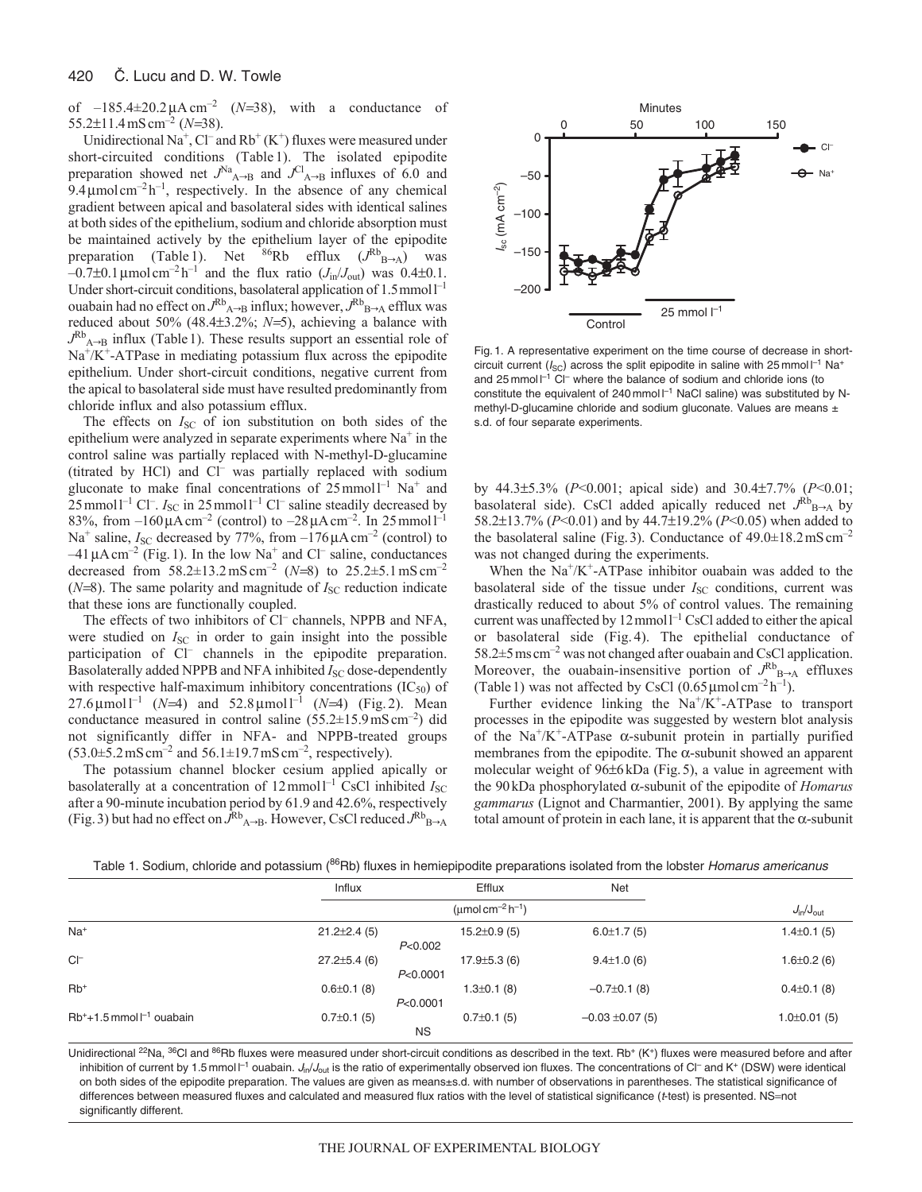#### 420 C. Lucu and D. W. Towle

of  $-185.4\pm20.2 \mu A \text{ cm}^{-2}$  (*N*=38), with a conductance of 55.2 $\pm$ 11.4 mS cm<sup>-2</sup> (*N*=38).

Unidirectional Na<sup>+</sup>, Cl<sup>-</sup> and Rb<sup>+</sup> (K<sup>+</sup>) fluxes were measured under short-circuited conditions (Table 1). The isolated epipodite preparation showed net  $J<sup>Na</sup><sub>A\rightarrow B</sub>$  and  $J<sup>Cl</sup><sub>A\rightarrow B</sub>$  influxes of 6.0 and  $9.4 \mu$ mol cm<sup>-2</sup>h<sup>-1</sup>, respectively. In the absence of any chemical gradient between apical and basolateral sides with identical salines at both sides of the epithelium, sodium and chloride absorption must be maintained actively by the epithelium layer of the epipodite preparation (Table 1). Net  $86Rb$  efflux  $(J^{Rb}B-A)$  was  $-0.7\pm0.1\,\mu$ mol cm<sup>-2</sup> h<sup>-1</sup> and the flux ratio (*J*<sub>in</sub>/*J*<sub>out</sub>) was 0.4 $\pm$ 0.1. Under short-circuit conditions, basolateral application of 1.5 mmol<sup>1-1</sup> ouabain had no effect on  $J^R{}_{A\rightarrow B}$  influx; however,  $J^R{}_{B\rightarrow A}$  efflux was reduced about 50% (48.4 $\pm$ 3.2%; *N*=5), achieving a balance with  $J^{\text{Rb}}_{A\rightarrow B}$  influx (Table 1). These results support an essential role of  $Na<sup>+</sup>/K<sup>+</sup>-ATPase$  in mediating potassium flux across the epipodite epithelium. Under short-circuit conditions, negative current from the apical to basolateral side must have resulted predominantly from chloride influx and also potassium efflux.

The effects on *I*<sub>SC</sub> of ion substitution on both sides of the epithelium were analyzed in separate experiments where  $Na<sup>+</sup>$  in the control saline was partially replaced with N-methyl-D-glucamine (titrated by HCl) and Cl– was partially replaced with sodium gluconate to make final concentrations of  $25$  mmol<sup>1-1</sup> Na<sup>+</sup> and  $25$  mmol<sup>1-1</sup> Cl<sup>-</sup>.  $I_{SC}$  in 25 mmol<sup>1-1</sup> Cl<sup>-</sup> saline steadily decreased by 83%, from  $-160 \mu A \text{ cm}^{-2}$  (control) to  $-28 \mu A \text{ cm}^{-2}$ . In 25 mmol  $1^{-1}$ Na<sup>+</sup> saline,  $I_{SC}$  decreased by 77%, from  $-176 \mu A \text{ cm}^{-2}$  (control) to  $-41 \mu A \text{ cm}^{-2}$  (Fig. 1). In the low Na<sup>+</sup> and Cl<sup>–</sup> saline, conductances decreased from  $58.2 \pm 13.2 \text{ mS cm}^{-2}$  (*N*=8) to  $25.2 \pm 5.1 \text{ mS cm}^{-2}$  $(N=8)$ . The same polarity and magnitude of  $I_{SC}$  reduction indicate that these ions are functionally coupled.

The effects of two inhibitors of Cl<sup>-</sup> channels, NPPB and NFA, were studied on *I*<sub>SC</sub> in order to gain insight into the possible participation of Cl<sup>-</sup> channels in the epipodite preparation. Basolaterally added NPPB and NFA inhibited *I*<sub>SC</sub> dose-dependently with respective half-maximum inhibitory concentrations  $(IC_{50})$  of  $27.6 \,\mu\text{mol}^{-1}$  (*N*=4) and  $52.8 \,\mu\text{mol}^{-1}$  (*N*=4) (Fig. 2). Mean conductance measured in control saline  $(55.2 \pm 15.9 \,\text{mS} \,\text{cm}^{-2})$  did not significantly differ in NFA- and NPPB-treated groups  $(53.0\pm 5.2 \,\text{mS} \,\text{cm}^{-2}$  and  $56.1\pm 19.7 \,\text{mS} \,\text{cm}^{-2}$ , respectively).

The potassium channel blocker cesium applied apically or basolaterally at a concentration of 12 mmol<sup>1-1</sup> CsCl inhibited *I*<sub>SC</sub> after a 90-minute incubation period by 61.9 and 42.6%, respectively (Fig. 3) but had no effect on  $\bar{J}^{\rm Rb}$ <sub>A→B</sub>. However, CsCl reduced  $J^{\rm Rb}$ <sub>B→A</sub>



Fig. 1. A representative experiment on the time course of decrease in shortcircuit current ( $I_{SC}$ ) across the split epipodite in saline with 25 mmol  $I^{-1}$  Na<sup>+</sup> and 25 mmol $I^{-1}$  Cl<sup>-</sup> where the balance of sodium and chloride ions (to constitute the equivalent of 240 mmol  $\mathsf{I}^{-1}$  NaCl saline) was substituted by Nmethyl-D-glucamine chloride and sodium gluconate. Values are means  $\pm$ s.d. of four separate experiments.

by 44.3±5.3% (*P*<0.001; apical side) and 30.4±7.7% (*P*<0.01; basolateral side). CsCl added apically reduced net  $J^{Rb}_{B\rightarrow A}$  by 58.2±13.7% (*P*<0.01) and by 44.7±19.2% (*P*<0.05) when added to the basolateral saline (Fig. 3). Conductance of  $49.0 \pm 18.2 \text{ mS cm}^{-2}$ was not changed during the experiments.

When the  $Na^{+}/K^{+}$ -ATPase inhibitor ouabain was added to the basolateral side of the tissue under *I*<sub>SC</sub> conditions, current was drastically reduced to about 5% of control values. The remaining current was unaffected by  $12$  mmol<sup> $-1$ </sup> CsCl added to either the apical or basolateral side (Fig. 4). The epithelial conductance of  $58.2 \pm 5$  ms cm<sup>-2</sup> was not changed after ouabain and CsCl application. Moreover, the ouabain-insensitive portion of  $J^{Rb}{}_{B\rightarrow A}$  effluxes (Table 1) was not affected by CsCl  $(0.65 \,\mu\text{mol cm}^{-2} \,\text{h}^{-1})$ .

Further evidence linking the  $Na^{+}/K^{+}$ -ATPase to transport processes in the epipodite was suggested by western blot analysis of the Na<sup>+</sup>/K<sup>+</sup>-ATPase  $\alpha$ -subunit protein in partially purified membranes from the epipodite. The  $\alpha$ -subunit showed an apparent molecular weight of 96±6kDa (Fig.5), a value in agreement with the  $90 \text{kDa phosphorylated } \alpha$ -subunit of the epipodite of *Homarus gammarus* (Lignot and Charmantier, 2001). By applying the same total amount of protein in each lane, it is apparent that the  $\alpha$ -subunit

|                                    | Influx                                   |           | Efflux             | <b>Net</b>                     |                    |  |
|------------------------------------|------------------------------------------|-----------|--------------------|--------------------------------|--------------------|--|
|                                    | (umol cm <sup>-2</sup> h <sup>-1</sup> ) |           |                    | $J_{\text{in}}/J_{\text{out}}$ |                    |  |
| $Na+$                              | $21.2 \pm 2.4$ (5)                       | P<0.002   | $15.2 \pm 0.9$ (5) | $6.0 \pm 1.7(5)$               | $1.4 \pm 0.1$ (5)  |  |
| $CI^-$                             | $27.2 \pm 5.4$ (6)                       | P<0.0001  | $17.9 \pm 5.3$ (6) | $9.4 \pm 1.0$ (6)              | $1.6 \pm 0.2$ (6)  |  |
| $Rb$ <sup>+</sup>                  | $0.6 \pm 0.1$ (8)                        | P<0.0001  | $1.3 \pm 0.1$ (8)  | $-0.7\pm0.1$ (8)               | $0.4 \pm 0.1$ (8)  |  |
| $Rb^{+}+1.5$ mmol $l^{-1}$ ouabain | $0.7\pm0.1$ (5)                          | <b>NS</b> | $0.7\pm0.1(5)$     | $-0.03 \pm 0.07$ (5)           | $1.0 \pm 0.01$ (5) |  |

Table 1. Sodium, chloride and potassium (<sup>86</sup>Rb) fluxes in hemiepipodite preparations isolated from the lobster Homarus americanus

Unidirectional <sup>22</sup>Na, <sup>36</sup>Cl and <sup>86</sup>Rb fluxes were measured under short-circuit conditions as described in the text. Rb<sup>+</sup> (K<sup>+</sup>) fluxes were measured before and after inhibition of current by 1.5 mmol  $\Gamma$ <sup>1</sup> ouabain. J<sub>in</sub>/J<sub>out</sub> is the ratio of experimentally observed ion fluxes. The concentrations of CI<sup>-</sup> and K<sup>+</sup> (DSW) were identical on both sides of the epipodite preparation. The values are given as means±s.d. with number of observations in parentheses. The statistical significance of differences between measured fluxes and calculated and measured flux ratios with the level of statistical significance (t-test) is presented. NS=not significantly different.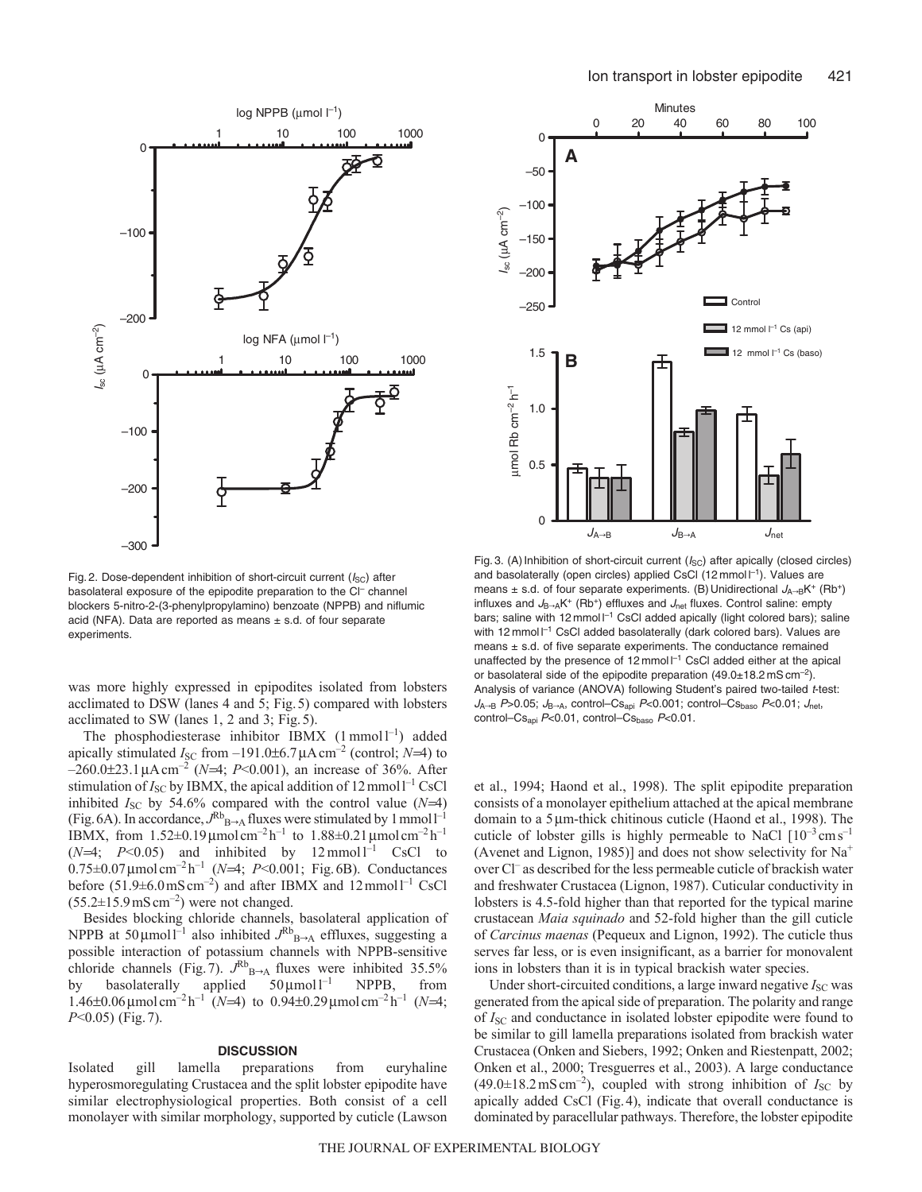

Fig. 2. Dose-dependent inhibition of short-circuit current  $(I_{SC})$  after basolateral exposure of the epipodite preparation to the Cl<sup>-</sup> channel blockers 5-nitro-2-(3-phenylpropylamino) benzoate (NPPB) and niflumic acid (NFA). Data are reported as means  $\pm$  s.d. of four separate experiments.

was more highly expressed in epipodites isolated from lobsters acclimated to DSW (lanes 4 and 5; Fig.5) compared with lobsters acclimated to SW (lanes 1, 2 and 3; Fig.5).

The phosphodiesterase inhibitor IBMX  $(1 \text{ mmol } l^{-1})$  added apically stimulated  $I_{SC}$  from  $-191.0\pm6.7\,\mu A \text{ cm}^{-2}$  (control; *N*=4) to  $-260.0\pm23.1 \mu A \text{ cm}^{-2}$  ( $N=4$ ; *P*<0.001), an increase of 36%. After stimulation of  $I_{SC}$  by IBMX, the apical addition of  $12$  mmol<sup>1-1</sup> CsCl inhibited  $I_{SC}$  by 54.6% compared with the control value  $(N=4)$ (Fig. 6A). In accordance,  $J^{Rb}{}_{B\rightarrow A}$  fluxes were stimulated by 1 mmol<sup>1-1</sup> IBMX, from  $1.52 \pm 0.19 \mu$ mol cm<sup>-2</sup> h<sup>-1</sup> to  $1.88 \pm 0.21 \mu$ mol cm<sup>-2</sup> h<sup>-1</sup>  $(N=4; P<0.05)$  and inhibited by  $12$ mmol <sup>1-1</sup> CsCl to  $0.75\pm0.07\,\mu\text{mol cm}^{-2}h^{-1}$  (*N*=4; *P*<0.001; Fig.6B). Conductances before  $(51.9 \pm 6.0 \,\text{mS cm}^{-2})$  and after IBMX and  $12 \,\text{mmol}^{-1}$  CsCl  $(55.2\pm15.9 \,\mathrm{mS\,cm^{-2}})$  were not changed.

Besides blocking chloride channels, basolateral application of NPPB at 50 $\mu$ moll<sup>-1</sup> also inhibited  $J^{Rb}{}_{B\rightarrow A}$  effluxes, suggesting a possible interaction of potassium channels with NPPB-sensitive chloride channels (Fig.<sup>7</sup>).  $J^{Rb}{}_{B\rightarrow A}$  fluxes were inhibited 35.5% by basolaterally applied 50  $\mu$ mol l<sup>-1</sup> NPPB, from by basolaterally applied NPPB, from  $1.46\pm0.06\,\mu\text{mol cm}^{-2}\text{h}^{-1}$  (*N*=4) to 0.94 $\pm0.29\,\mu\text{mol cm}^{-2}\text{h}^{-1}$  (*N*=4; *P*<0.05) (Fig.7).

# **DISCUSSION**

Isolated gill lamella preparations from euryhaline hyperosmoregulating Crustacea and the split lobster epipodite have similar electrophysiological properties. Both consist of a cell monolayer with similar morphology, supported by cuticle (Lawson



Fig. 3. (A) Inhibition of short-circuit current  $(I_{SC})$  after apically (closed circles) and basolaterally (open circles) applied CsCl (12 mmol l<sup>-1</sup>). Values are means  $\pm$  s.d. of four separate experiments. (B) Unidirectional  $J_{A\rightarrow B}K^+$  (Rb<sup>+</sup>) influxes and  $J_{B\rightarrow A}K^{+}$  (Rb<sup>+</sup>) effluxes and  $J_{net}$  fluxes. Control saline: empty bars; saline with 12 mmol I<sup>-1</sup> CsCl added apically (light colored bars); saline with 12 mmol  $I^{-1}$  CsCl added basolaterally (dark colored bars). Values are means  $\pm$  s.d. of five separate experiments. The conductance remained unaffected by the presence of 12 mmol  $I^{-1}$  CsCl added either at the apical or basolateral side of the epipodite preparation  $(49.0\pm18.2 \text{ mS cm}^{-1})$ Analysis of variance (ANOVA) following Student's paired two-tailed t-test:  $J_{A\rightarrow B}$  P>0.05;  $J_{B\rightarrow A}$ , control–Cs<sub>api</sub> P<0.001; control–Cs<sub>baso</sub> P<0.01;  $J_{\text{net}}$ , control–Cs<sub>api</sub> P<0.01, control–Cs<sub>baso</sub> P<0.01.

et al., 1994; Haond et al., 1998). The split epipodite preparation consists of a monolayer epithelium attached at the apical membrane domain to a 5  $\mu$ m-thick chitinous cuticle (Haond et al., 1998). The cuticle of lobster gills is highly permeable to NaCl  $[10^{-3} \text{cm s}^{-1}]$ (Avenet and Lignon, 1985)] and does not show selectivity for  $Na<sup>+</sup>$ over Cl– as described for the less permeable cuticle of brackish water and freshwater Crustacea (Lignon, 1987). Cuticular conductivity in lobsters is 4.5-fold higher than that reported for the typical marine crustacean *Maia squinado* and 52-fold higher than the gill cuticle of *Carcinus maenas* (Pequeux and Lignon, 1992). The cuticle thus serves far less, or is even insignificant, as a barrier for monovalent ions in lobsters than it is in typical brackish water species.

Under short-circuited conditions, a large inward negative  $I_{\rm SC}$  was generated from the apical side of preparation. The polarity and range of *I*<sub>SC</sub> and conductance in isolated lobster epipodite were found to be similar to gill lamella preparations isolated from brackish water Crustacea (Onken and Siebers, 1992; Onken and Riestenpatt, 2002; Onken et al., 2000; Tresguerres et al., 2003). A large conductance  $(49.0\pm18.2 \text{ mS cm}^{-2})$ , coupled with strong inhibition of  $I_{SC}$  by apically added CsCl (Fig.4), indicate that overall conductance is dominated by paracellular pathways. Therefore, the lobster epipodite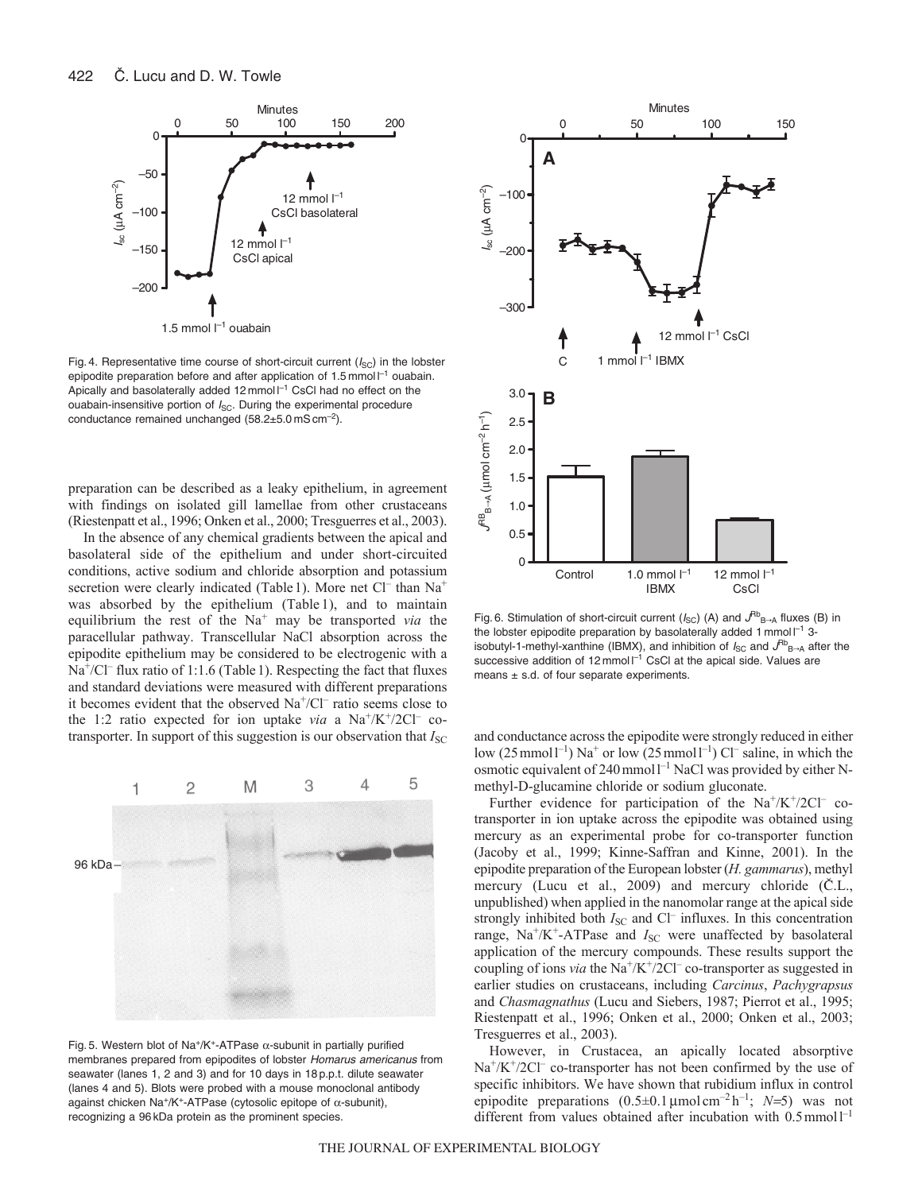

Fig. 4. Representative time course of short-circuit current  $(I_{SC})$  in the lobster epipodite preparation before and after application of 1.5 mmol $\mathsf{l}^{-1}$  ouabain. Apically and basolaterally added  $12$  mmol  $I^{-1}$  CsCl had no effect on the ouabain-insensitive portion of  $I_{SC}$ . During the experimental procedure conductance remained unchanged  $(58.2 \pm 5.0 \,\text{mS} \,\text{cm}^{-2})$ .

preparation can be described as a leaky epithelium, in agreement with findings on isolated gill lamellae from other crustaceans (Riestenpatt et al., 1996; Onken et al., 2000; Tresguerres et al., 2003).

In the absence of any chemical gradients between the apical and basolateral side of the epithelium and under short-circuited conditions, active sodium and chloride absorption and potassium secretion were clearly indicated (Table 1). More net Cl<sup>-</sup> than Na<sup>+</sup> was absorbed by the epithelium (Table 1), and to maintain equilibrium the rest of the Na<sup>+</sup> may be transported *via* the paracellular pathway. Transcellular NaCl absorption across the epipodite epithelium may be considered to be electrogenic with a  $Na<sup>+</sup>/Cl<sup>-</sup>$  flux ratio of 1:1.6 (Table 1). Respecting the fact that fluxes and standard deviations were measured with different preparations it becomes evident that the observed  $Na^+/Cl^-$  ratio seems close to the 1:2 ratio expected for ion uptake *via* a  $Na^+/K^+/2Cl^-$  cotransporter. In support of this suggestion is our observation that  $I_{SC}$ 



Fig. 5. Western blot of Na<sup>+</sup>/K<sup>+</sup>-ATPase  $\alpha$ -subunit in partially purified membranes prepared from epipodites of lobster Homarus americanus from seawater (lanes 1, 2 and 3) and for 10 days in 18 p.p.t. dilute seawater (lanes 4 and 5). Blots were probed with a mouse monoclonal antibody against chicken Na<sup>+</sup>/K<sup>+</sup>-ATPase (cytosolic epitope of  $\alpha$ -subunit), recognizing a 96 kDa protein as the prominent species.



Fig. 6. Stimulation of short-circuit current ( $I_{SC}$ ) (A) and  $J^{Rb}$ <sub>B-A</sub> fluxes (B) in the lobster epipodite preparation by basolaterally added 1 mmol  $I^{-1}$  3isobutyl-1-methyl-xanthine (IBMX), and inhibition of  $I_{SC}$  and  $J^{Bb}{}_{B\rightarrow A}$  after the successive addition of 12 mmol  $I^{-1}$  CsCl at the apical side. Values are means  $\pm$  s.d. of four separate experiments.

and conductance across the epipodite were strongly reduced in either low (25 mmol  $l^{-1}$ ) Na<sup>+</sup> or low (25 mmol  $l^{-1}$ ) Cl<sup>-</sup> saline, in which the osmotic equivalent of  $240$  mmol  $1^{-1}$  NaCl was provided by either Nmethyl-D-glucamine chloride or sodium gluconate.

Further evidence for participation of the  $Na^+/K^+/2Cl^-$  cotransporter in ion uptake across the epipodite was obtained using mercury as an experimental probe for co-transporter function (Jacoby et al., 1999; Kinne-Saffran and Kinne, 2001). In the epipodite preparation of the European lobster (*H. gammarus*), methyl mercury (Lucu et al., 2009) and mercury chloride (C.L., unpublished) when applied in the nanomolar range at the apical side strongly inhibited both *I*<sub>SC</sub> and Cl<sup>–</sup> influxes. In this concentration range, Na<sup>+</sup>/K<sup>+</sup>-ATPase and *I*<sub>SC</sub> were unaffected by basolateral application of the mercury compounds. These results support the coupling of ions *via* the Na<sup>+</sup>/K<sup>+</sup>/2Cl<sup>–</sup> co-transporter as suggested in earlier studies on crustaceans, including *Carcinus*, *Pachygrapsus* and *Chasmagnathus* (Lucu and Siebers, 1987; Pierrot et al., 1995; Riestenpatt et al., 1996; Onken et al., 2000; Onken et al., 2003; Tresguerres et al., 2003).

However, in Crustacea, an apically located absorptive  $Na^{+}/K^{+}/2Cl^{-}$  co-transporter has not been confirmed by the use of specific inhibitors. We have shown that rubidium influx in control epipodite preparations  $(0.5\pm 0.1 \,\mu\text{mol cm}^{-2} \,\text{h}^{-1}; N=5)$  was not different from values obtained after incubation with  $0.5$  mmol<sup>1-1</sup>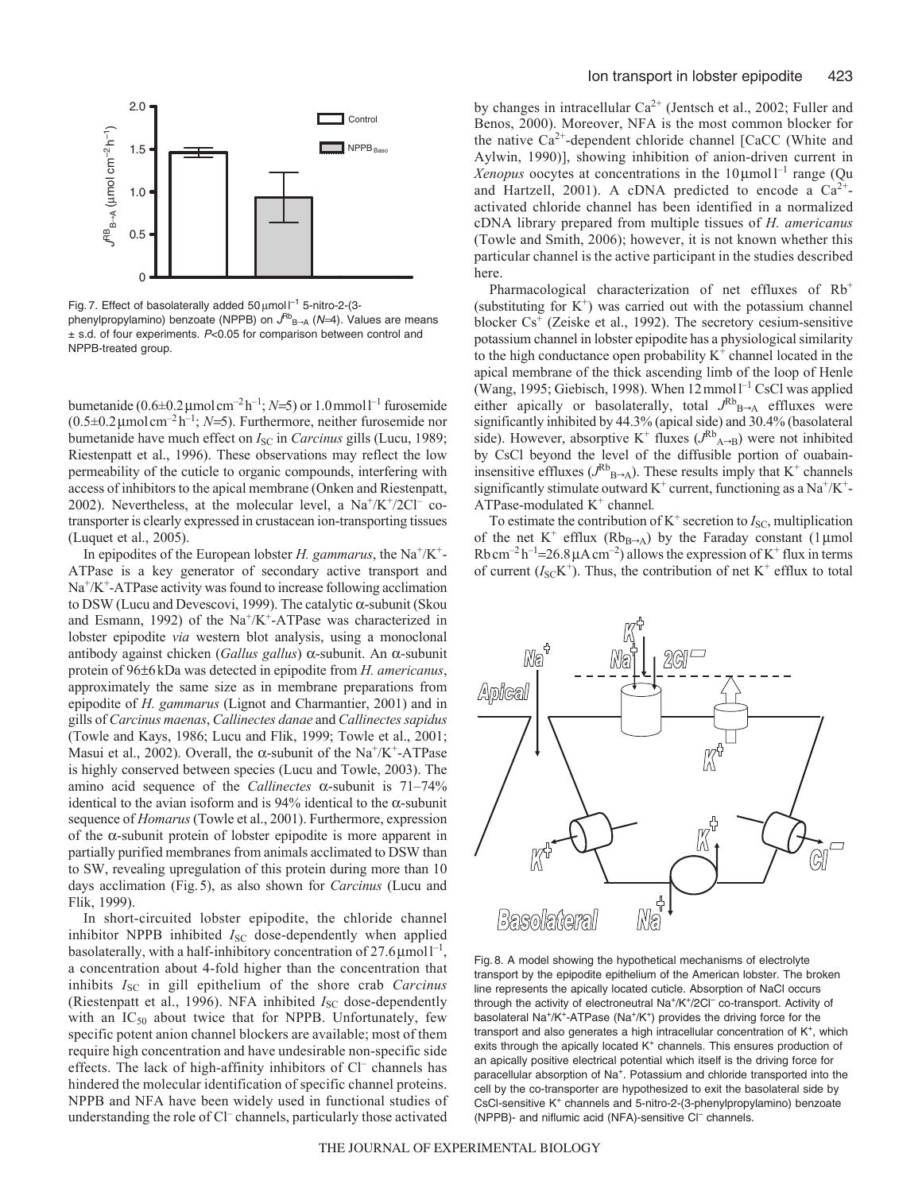

Fig. 7. Effect of basolaterally added 50  $\mu$ mol  $I^{-1}$  5-nitro-2-(3phenylpropylamino) benzoate (NPPB) on  $J^{Rb}{}_{B\rightarrow A}$  (N=4). Values are means  $\pm$  s.d. of four experiments. P<0.05 for comparison between control and NPPB-treated group.

bumetanide  $(0.6\pm0.2 \,\mu\text{mol cm}^{-2} \text{h}^{-1}; N=5)$  or  $1.0 \,\text{mmol} \text{ l}^{-1}$  furosemide  $(0.5\pm0.2 \,\mu\text{mol cm}^{-2} \text{h}^{-1}; N=5)$ . Furthermore, neither furosemide nor bumetanide have much effect on *I*<sub>SC</sub> in *Carcinus* gills (Lucu, 1989; Riestenpatt et al., 1996). These observations may reflect the low permeability of the cuticle to organic compounds, interfering with access of inhibitors to the apical membrane (Onken and Riestenpatt, 2002). Nevertheless, at the molecular level, a  $Na^+/K^+/2Cl^-$  cotransporter is clearly expressed in crustacean ion-transporting tissues (Luquet et al., 2005).

In epipodites of the European lobster *H. gammarus*, the Na<sup>+</sup>/K<sup>+</sup>-ATPase is a key generator of secondary active transport and  $Na<sup>+</sup>/K<sup>+</sup>-ATP$ ase activity was found to increase following acclimation to DSW (Lucu and Devescovi, 1999). The catalytic  $\alpha$ -subunit (Skou and Esmann, 1992) of the  $Na^+/K^+$ -ATPase was characterized in lobster epipodite *via* western blot analysis, using a monoclonal antibody against chicken (*Gallus gallus*)  $\alpha$ -subunit. An  $\alpha$ -subunit protein of 96±6kDa was detected in epipodite from *H. americanus*, approximately the same size as in membrane preparations from epipodite of *H. gammarus* (Lignot and Charmantier, 2001) and in gills of *Carcinus maenas*, *Callinectes danae* and *Callinectes sapidus* (Towle and Kays, 1986; Lucu and Flik, 1999; Towle et al., 2001; Masui et al., 2002). Overall, the  $\alpha$ -subunit of the Na<sup>+</sup>/K<sup>+</sup>-ATPase is highly conserved between species (Lucu and Towle, 2003). The amino acid sequence of the *Callinectes*  $\alpha$ -subunit is 71–74% identical to the avian isoform and is 94% identical to the  $\alpha$ -subunit sequence of *Homarus* (Towle et al., 2001). Furthermore, expression of the  $\alpha$ -subunit protein of lobster epipodite is more apparent in partially purified membranes from animals acclimated to DSW than to SW, revealing upregulation of this protein during more than 10 days acclimation (Fig.5), as also shown for *Carcinus* (Lucu and Flik, 1999).

In short-circuited lobster epipodite, the chloride channel inhibitor NPPB inhibited *I*<sub>SC</sub> dose-dependently when applied basolaterally, with a half-inhibitory concentration of  $27.6 \mu$ moll<sup>-1</sup>, a concentration about 4-fold higher than the concentration that inhibits *I<sub>SC</sub>* in gill epithelium of the shore crab *Carcinus* (Riestenpatt et al., 1996). NFA inhibited *I<sub>SC</sub>* dose-dependently with an  $IC_{50}$  about twice that for NPPB. Unfortunately, few specific potent anion channel blockers are available; most of them require high concentration and have undesirable non-specific side effects. The lack of high-affinity inhibitors of Cl– channels has hindered the molecular identification of specific channel proteins. NPPB and NFA have been widely used in functional studies of understanding the role of Cl– channels, particularly those activated by changes in intracellular  $Ca^{2+}$  (Jentsch et al., 2002; Fuller and Benos, 2000). Moreover, NFA is the most common blocker for the native  $Ca^{2+}$ -dependent chloride channel [CaCC (White and Aylwin, 1990)], showing inhibition of anion-driven current in Xenopus oocytes at concentrations in the  $10 \mu$ mol<sup>-1</sup> range (Qu and Hartzell, 2001). A cDNA predicted to encode a  $Ca^{2+}$ activated chloride channel has been identified in a normalized cDNA library prepared from multiple tissues of *H. americanus* (Towle and Smith, 2006); however, it is not known whether this particular channel is the active participant in the studies described here.

Pharmacological characterization of net effluxes of Rb<sup>+</sup> (substituting for  $K^+$ ) was carried out with the potassium channel blocker  $Cs<sup>+</sup>$  (Zeiske et al., 1992). The secretory cesium-sensitive potassium channel in lobster epipodite has a physiological similarity to the high conductance open probability  $K^+$  channel located in the apical membrane of the thick ascending limb of the loop of Henle (Wang, 1995; Giebisch, 1998). When  $12$  mmol  $1^{-1}$  CsCl was applied either apically or basolaterally, total  $J^{Rb}{}_{B\rightarrow A}$  effluxes were significantly inhibited by 44.3% (apical side) and 30.4% (basolateral side). However, absorptive K<sup>+</sup> fluxes ( $J^{Rb}$ <sub>A→B</sub>) were not inhibited by CsCl beyond the level of the diffusible portion of ouabaininsensitive effluxes ( $J^{Rb}{}_{B\rightarrow A}$ ). These results imply that K<sup>+</sup> channels significantly stimulate outward  $K^+$  current, functioning as a  $Na^+/K^+$ -ATPase-modulated K+ channel*.*

To estimate the contribution of  $K^+$  secretion to  $I_{SC}$ , multiplication of the net K<sup>+</sup> efflux (Rb<sub>B→A</sub>) by the Faraday constant (1 µmol Rbcm<sup>-2</sup> h<sup>-1</sup>=26.8  $\mu$ A cm<sup>-2</sup>) allows the expression of K<sup>+</sup> flux in terms of current  $(I_{\text{SC}}K^+)$ . Thus, the contribution of net  $K^+$  efflux to total



Fig. 8. A model showing the hypothetical mechanisms of electrolyte transport by the epipodite epithelium of the American lobster. The broken line represents the apically located cuticle. Absorption of NaCl occurs through the activity of electroneutral Na<sup>+</sup>/K<sup>+</sup>/2Cl<sup>-</sup> co-transport. Activity of basolateral Na+/K+-ATPase (Na+/K+) provides the driving force for the transport and also generates a high intracellular concentration of  $K^+$ , which exits through the apically located  $K^+$  channels. This ensures production of an apically positive electrical potential which itself is the driving force for paracellular absorption of Na<sup>+</sup>. Potassium and chloride transported into the cell by the co-transporter are hypothesized to exit the basolateral side by CsCl-sensitive K+ channels and 5-nitro-2-(3-phenylpropylamino) benzoate (NPPB)- and niflumic acid (NFA)-sensitive Cl<sup>-</sup> channels.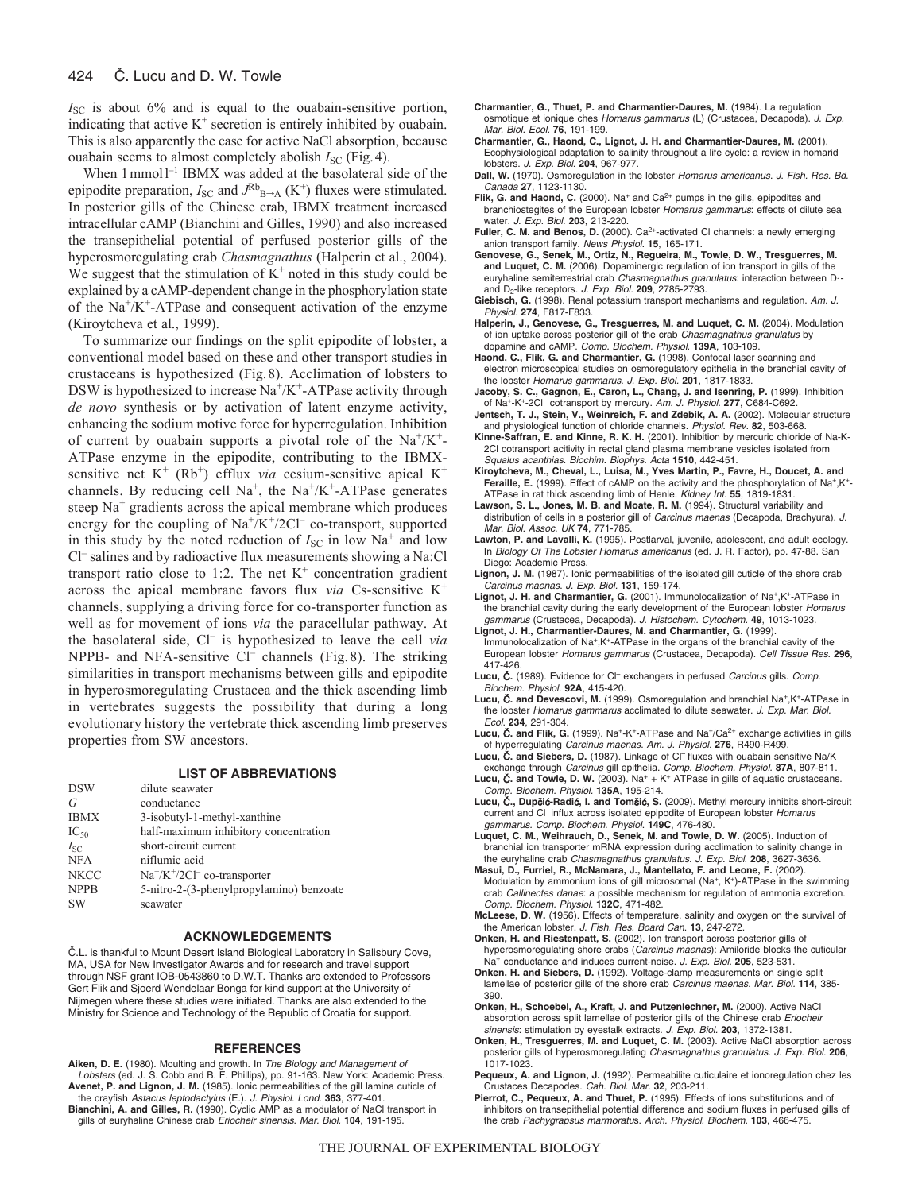$I<sub>SC</sub>$  is about 6% and is equal to the ouabain-sensitive portion, indicating that active  $K^+$  secretion is entirely inhibited by ouabain. This is also apparently the case for active NaCl absorption, because ouabain seems to almost completely abolish *I*<sub>SC</sub> (Fig. 4).

When  $1$  mmol<sup> $1$ </sup> IBMX was added at the basolateral side of the epipodite preparation,  $I_{SC}$  and  $J^{Rb}_{B\rightarrow A}$  (K<sup>+</sup>) fluxes were stimulated. In posterior gills of the Chinese crab, IBMX treatment increased intracellular cAMP (Bianchini and Gilles, 1990) and also increased the transepithelial potential of perfused posterior gills of the hyperosmoregulating crab *Chasmagnathus* (Halperin et al., 2004). We suggest that the stimulation of  $K^+$  noted in this study could be explained by a cAMP-dependent change in the phosphorylation state of the  $Na^+/K^+$ -ATPase and consequent activation of the enzyme (Kiroytcheva et al., 1999).

To summarize our findings on the split epipodite of lobster, a conventional model based on these and other transport studies in crustaceans is hypothesized (Fig.8). Acclimation of lobsters to DSW is hypothesized to increase  $\text{Na}^+\text{/K}^+$ -ATPase activity through *de novo* synthesis or by activation of latent enzyme activity, enhancing the sodium motive force for hyperregulation. Inhibition of current by ouabain supports a pivotal role of the  $Na^+/K^+$ -ATPase enzyme in the epipodite, contributing to the IBMXsensitive net  $K^+$  (Rb<sup>+</sup>) efflux *via* cesium-sensitive apical  $K^+$ channels. By reducing cell Na<sup>+</sup>, the Na<sup>+</sup>/K<sup>+</sup>-ATPase generates steep  $Na<sup>+</sup>$  gradients across the apical membrane which produces energy for the coupling of  $Na^+/K^+/2Cl^-$  co-transport, supported in this study by the noted reduction of  $I_{SC}$  in low Na<sup>+</sup> and low Cl– salines and by radioactive flux measurements showing a Na:Cl transport ratio close to 1:2. The net  $K^+$  concentration gradient across the apical membrane favors flux *via* Cs-sensitive K<sup>+</sup> channels, supplying a driving force for co-transporter function as well as for movement of ions *via* the paracellular pathway. At the basolateral side, Cl– is hypothesized to leave the cell *via* NPPB- and NFA-sensitive Cl<sup>-</sup> channels (Fig. 8). The striking similarities in transport mechanisms between gills and epipodite in hyperosmoregulating Crustacea and the thick ascending limb in vertebrates suggests the possibility that during a long evolutionary history the vertebrate thick ascending limb preserves properties from SW ancestors.

#### **LIST OF ABBREVIATIONS**

| <b>DSW</b>  | dilute seawater                          |
|-------------|------------------------------------------|
| G           | conductance                              |
| <b>IBMX</b> | 3-isobutyl-1-methyl-xanthine             |
| $IC_{50}$   | half-maximum inhibitory concentration    |
| $I_{SC}$    | short-circuit current                    |
| <b>NFA</b>  | niflumic acid                            |
| <b>NKCC</b> | $Na^+/K^+/2Cl^-$ co-transporter          |
| <b>NPPB</b> | 5-nitro-2-(3-phenylpropylamino) benzoate |
| <b>SW</b>   | seawater                                 |

## **ACKNOWLEDGEMENTS**

C.L. is thankful to Mount Desert Island Biological Laboratory in Salisbury Cove, MA, USA for New Investigator Awards and for research and travel support through NSF grant IOB-0543860 to D.W.T. Thanks are extended to Professors Gert Flik and Sjoerd Wendelaar Bonga for kind support at the University of Nijmegen where these studies were initiated. Thanks are also extended to the Ministry for Science and Technology of the Republic of Croatia for support.

#### **REFERENCES**

- **Aiken, D. E.** (1980). Moulting and growth. In The Biology and Management of Lobsters (ed. J. S. Cobb and B. F. Phillips), pp. 91-163. New York: Academic Press. **Avenet, P. and Lignon, J. M.** (1985). Ionic permeabilities of the gill lamina cuticle of the crayfish Astacus leptodactylus (E.). J. Physiol. Lond. **363**, 377-401.
- **Bianchini, A. and Gilles, R.** (1990). Cyclic AMP as a modulator of NaCl transport in gills of euryhaline Chinese crab Eriocheir sinensis. Mar. Biol. **104**, 191-195.
- **Charmantier, G., Thuet, P. and Charmantier-Daures, M.** (1984). La regulation osmotique et ionique ches Homarus gammarus (L) (Crustacea, Decapoda). J. Exp. Mar. Biol. Ecol. **76**, 191-199.
- **Charmantier, G., Haond, C., Lignot, J. H. and Charmantier-Daures, M.** (2001). Ecophysiological adaptation to salinity throughout a life cycle: a review in homarid lobsters. J. Exp. Biol. **204**, 967-977.
- **Dall, W.** (1970). Osmoregulation in the lobster Homarus americanus. J. Fish. Res. Bd. Canada **27**, 1123-1130.
- Flik, G. and Haond, C. (2000). Na<sup>+</sup> and Ca<sup>2+</sup> pumps in the gills, epipodites and branchiostegites of the European lobster Homarus gammarus: effects of dilute sea water. J. Exp. Biol. **203**, 213-220.
- Fuller, C. M. and Benos, D. (2000). Ca<sup>2+</sup>-activated Cl channels: a newly emerging anion transport family. News Physiol. **15**, 165-171.
- **Genovese, G., Senek, M., Ortiz, N., Regueira, M., Towle, D. W., Tresguerres, M. and Luquet, C. M.** (2006). Dopaminergic regulation of ion transport in gills of the euryhaline semiterrestrial crab Chasmagnathus granulatus: interaction between D<sub>1</sub>and D2-like receptors. J. Exp. Biol. **209**, 2785-2793.
- **Giebisch, G.** (1998). Renal potassium transport mechanisms and regulation. Am. J. Physiol. **274**, F817-F833.
- **Halperin, J., Genovese, G., Tresguerres, M. and Luquet, C. M.** (2004). Modulation of ion uptake across posterior gill of the crab Chasmagnathus granulatus by dopamine and cAMP. Comp. Biochem. Physiol. **139A**, 103-109.
- **Haond, C., Flik, G. and Charmantier, G.** (1998). Confocal laser scanning and electron microscopical studies on osmoregulatory epithelia in the branchial cavity of the lobster Homarus gammarus. J. Exp. Biol. **201**, 1817-1833.
- **Jacoby, S. C., Gagnon, E., Caron, L., Chang, J. and Isenring, P.** (1999). Inhibition of Na+-K+-2Cl– cotransport by mercury. Am. J. Physiol. **277**, C684-C692. **Jentsch, T. J., Stein, V., Weinreich, F. and Zdebik, A. A.** (2002). Molecular structure
- and physiological function of chloride channels. Physiol. Rev. **82**, 503-668.
- **Kinne-Saffran, E. and Kinne, R. K. H.** (2001). Inhibition by mercuric chloride of Na-K-2Cl cotransport acitivity in rectal gland plasma membrane vesicles isolated from Squalus acanthias. Biochim. Biophys. Acta **1510**, 442-451.
- **Kiroytcheva, M., Cheval, L., Luisa, M., Yves Martin, P., Favre, H., Doucet, A. and** Feraille, E. (1999). Effect of cAMP on the activity and the phosphorylation of Na<sup>+</sup>,K<sup>+</sup>-ATPase in rat thick ascending limb of Henle. Kidney Int. **55**, 1819-1831.
- **Lawson, S. L., Jones, M. B. and Moate, R. M.** (1994). Structural variability and distribution of cells in a posterior gill of Carcinus maenas (Decapoda, Brachyura). J. Mar. Biol. Assoc. UK **74**, 771-785.
- **Lawton, P. and Lavalli, K.** (1995). Postlarval, juvenile, adolescent, and adult ecology. In Biology Of The Lobster Homarus americanus (ed. J. R. Factor), pp. 47-88. San Diego: Academic Press.
- **Lignon, J. M.** (1987). Ionic permeabilities of the isolated gill cuticle of the shore crab Carcinus maenas. J. Exp. Biol. **131**, 159-174.
- **Lignot, J. H. and Charmantier, G.** (2001). Immunolocalization of Na<sup>+</sup>,K<sup>+</sup>-ATPase in the branchial cavity during the early development of the European lobster Homarus gammarus (Crustacea, Decapoda). J. Histochem. Cytochem. **49**, 1013-1023.
- **Lignot, J. H., Charmantier-Daures, M. and Charmantier, G.** (1999). Immunolocalization of Na+,K+-ATPase in the organs of the branchial cavity of the European lobster Homarus gammarus (Crustacea, Decapoda). Cell Tissue Res. **296**, 417-426.
- Lucu, C. (1989). Evidence for CI<sup>-</sup> exchangers in perfused *Carcinus* gills. Comp. Biochem. Physiol. **92A**, 415-420.
- **Lucu,** C**. and Devescovi, M.** (1999). Osmoregulation and branchial Na+,K+-ATPase in the lobster Homarus gammarus acclimated to dilute seawater. J. Exp. Mar. Biol. Ecol. **234**, 291-304.
- Lucu, Č. and Flik, G. (1999). Na<sup>+</sup>-K<sup>+</sup>-ATPase and Na<sup>+</sup>/Ca<sup>2+</sup> exchange activities in gills of hyperregulating Carcinus maenas. Am. J. Physiol. **276**, R490-R499.
- **Lucu, C. and Siebers, D.** (1987). Linkage of Cl<sup>-</sup> fluxes with ouabain sensitive Na/K exchange through Carcinus gill epithelia. Comp. Biochem. Physiol. **87A**, 807-811.
- Lucu, **Č. and Towle, D. W.** (2003). Na<sup>+</sup> + K<sup>+</sup> ATPase in gills of aquatic crustaceans. Comp. Biochem. Physiol. **135A**, 195-214.
- **Lucu,** C**., Dup**c**i**c**-Radi**c**, I. and Tom**s**i**c**, S.** (2009). Methyl mercury inhibits short-circuit current and Cl<sup>-</sup> influx across isolated epipodite of European lobster Homarus gammarus. Comp. Biochem. Physiol. **149C**, 476-480.
- **Luquet, C. M., Weihrauch, D., Senek, M. and Towle, D. W.** (2005). Induction of branchial ion transporter mRNA expression during acclimation to salinity change in the euryhaline crab Chasmagnathus granulatus. J. Exp. Biol. **208**, 3627-3636.
- **Masui, D., Furriel, R., McNamara, J., Mantellato, F. and Leone, F.** (2002). Modulation by ammonium ions of gill microsomal (Na<sup>+</sup>, K<sup>+</sup>)-ATPase in the swimming crab Callinectes danae: a possible mechanism for regulation of ammonia excretion. Comp. Biochem. Physiol. **132C**, 471-482.
- **McLeese, D. W.** (1956). Effects of temperature, salinity and oxygen on the survival of the American lobster. J. Fish. Res. Board Can. **13**, 247-272.
- **Onken, H. and Riestenpatt, S.** (2002). Ion transport across posterior gills of hyperosmoregulating shore crabs (Carcinus maenas): Amiloride blocks the cuticular Na+ conductance and induces current-noise. J. Exp. Biol. **205**, 523-531.
- **Onken, H. and Siebers, D.** (1992). Voltage-clamp measurements on single split lamellae of posterior gills of the shore crab Carcinus maenas. Mar. Biol. **114**, 385- 390.
- **Onken, H., Schoebel, A., Kraft, J. and Putzenlechner, M.** (2000). Active NaCl absorption across split lamellae of posterior gills of the Chinese crab Eriocheir sinensis: stimulation by eyestalk extracts. J. Exp. Biol. **203**, 1372-1381.
- **Onken, H., Tresguerres, M. and Luquet, C. M.** (2003). Active NaCl absorption across posterior gills of hyperosmoregulating Chasmagnathus granulatus. J. Exp. Biol. **206**, 1017-1023.
- **Pequeux, A. and Lignon, J.** (1992). Permeabilite cuticulaire et ionoregulation chez les Crustaces Decapodes. Cah. Biol. Mar. **32**, 203-211.
- Pierrot. C., Pequeux. A. and Thuet, P. (1995). Effects of ions substitutions and of inhibitors on transepithelial potential difference and sodium fluxes in perfused gills of the crab Pachygrapsus marmoratus. Arch. Physiol. Biochem. **103**, 466-475.